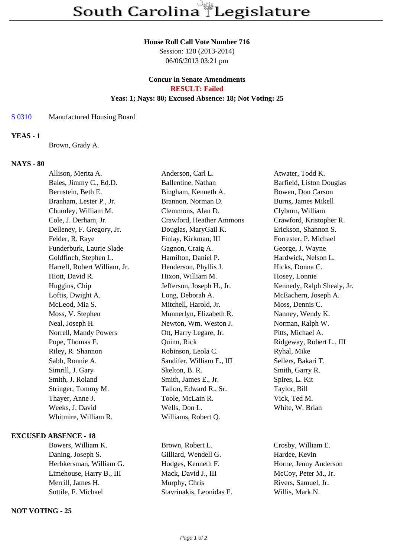## **House Roll Call Vote Number 716**

Session: 120 (2013-2014) 06/06/2013 03:21 pm

# **Concur in Senate Amendments RESULT: Failed Yeas: 1; Nays: 80; Excused Absence: 18; Not Voting: 25**

### S 0310 Manufactured Housing Board

## **YEAS - 1**

Brown, Grady A.

## **NAYS - 80**

| Allison, Merita A.           | Anderson, Carl L.         | Atwater, Todd K.           |
|------------------------------|---------------------------|----------------------------|
| Bales, Jimmy C., Ed.D.       | Ballentine, Nathan        | Barfield, Liston Douglas   |
| Bernstein, Beth E.           | Bingham, Kenneth A.       | Bowen, Don Carson          |
| Branham, Lester P., Jr.      | Brannon, Norman D.        | Burns, James Mikell        |
| Chumley, William M.          | Clemmons, Alan D.         | Clyburn, William           |
| Cole, J. Derham, Jr.         | Crawford, Heather Ammons  | Crawford, Kristopher R.    |
| Delleney, F. Gregory, Jr.    | Douglas, MaryGail K.      | Erickson, Shannon S.       |
| Felder, R. Raye              | Finlay, Kirkman, III      | Forrester, P. Michael      |
| Funderburk, Laurie Slade     | Gagnon, Craig A.          | George, J. Wayne           |
| Goldfinch, Stephen L.        | Hamilton, Daniel P.       | Hardwick, Nelson L.        |
| Harrell, Robert William, Jr. | Henderson, Phyllis J.     | Hicks, Donna C.            |
| Hiott, David R.              | Hixon, William M.         | Hosey, Lonnie              |
| Huggins, Chip                | Jefferson, Joseph H., Jr. | Kennedy, Ralph Shealy, Jr. |
| Loftis, Dwight A.            | Long, Deborah A.          | McEachern, Joseph A.       |
| McLeod, Mia S.               | Mitchell, Harold, Jr.     | Moss, Dennis C.            |
| Moss, V. Stephen             | Munnerlyn, Elizabeth R.   | Nanney, Wendy K.           |
| Neal, Joseph H.              | Newton, Wm. Weston J.     | Norman, Ralph W.           |
| Norrell, Mandy Powers        | Ott, Harry Legare, Jr.    | Pitts, Michael A.          |
| Pope, Thomas E.              | Quinn, Rick               | Ridgeway, Robert L., III   |
| Riley, R. Shannon            | Robinson, Leola C.        | Ryhal, Mike                |
| Sabb, Ronnie A.              | Sandifer, William E., III | Sellers, Bakari T.         |
| Simrill, J. Gary             | Skelton, B. R.            | Smith, Garry R.            |
| Smith, J. Roland             | Smith, James E., Jr.      | Spires, L. Kit             |
| Stringer, Tommy M.           | Tallon, Edward R., Sr.    | Taylor, Bill               |
| Thayer, Anne J.              | Toole, McLain R.          | Vick, Ted M.               |
| Weeks, J. David              | Wells, Don L.             | White, W. Brian            |
| Whitmire, William R.         | Williams, Robert Q.       |                            |
|                              |                           |                            |

## **EXCUSED ABSENCE - 18**

Daning, Joseph S. Gilliard, Wendell G. Hardee, Kevin Herbkersman, William G. Hodges, Kenneth F. Horne, Jenny Anderson Limehouse, Harry B., III Mack, David J., III McCoy, Peter M., Jr. Merrill, James H. Murphy, Chris Rivers, Samuel, Jr. Sottile, F. Michael Stavrinakis, Leonidas E. Willis, Mark N.

# **NOT VOTING - 25**

Bowers, William K. Brown, Robert L. Crosby, William E.